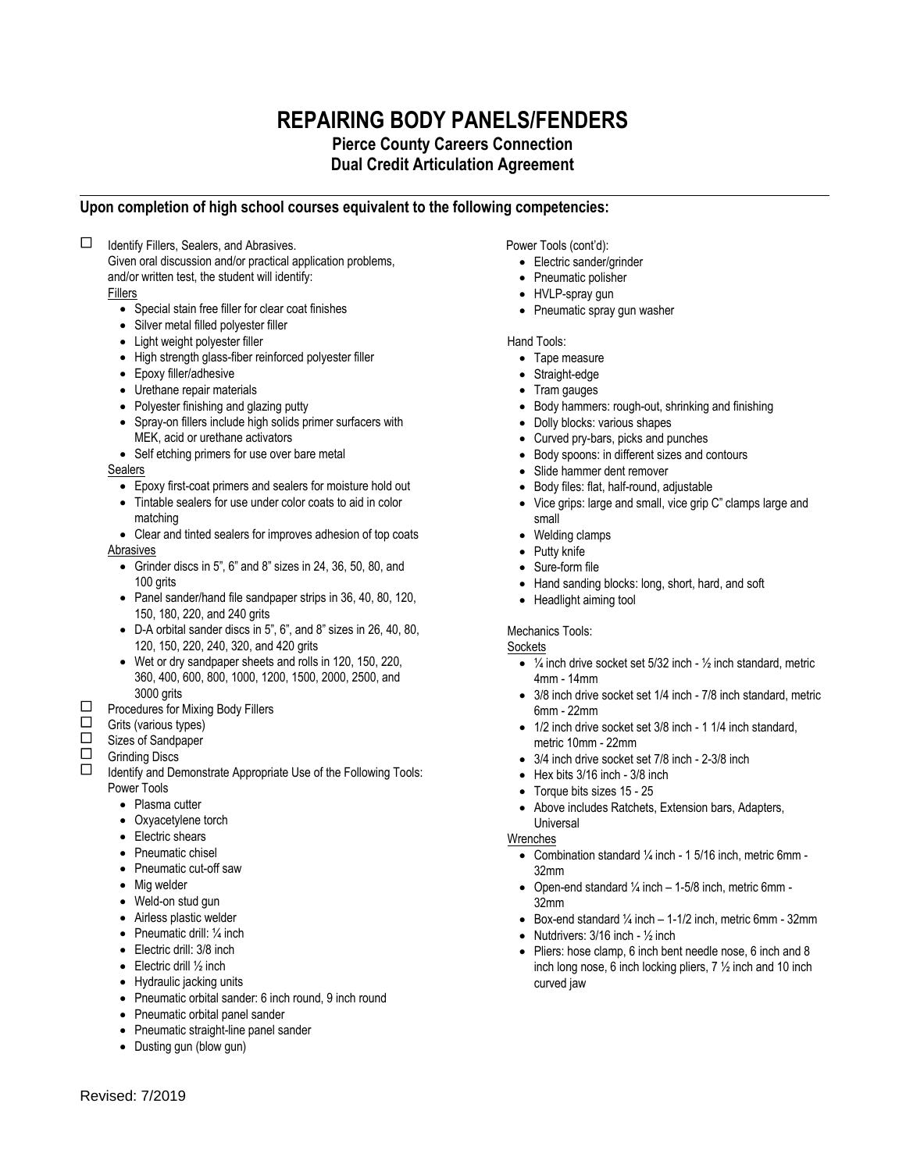# **REPAIRING BODY PANELS/FENDERS Pierce County Careers Connection Dual Credit Articulation Agreement**

## **Upon completion of high school courses equivalent to the following competencies:**

 $\Box$ Identify Fillers, Sealers, and Abrasives.

Given oral discussion and/or practical application problems, and/or written test, the student will identify:

Fillers

- Special stain free filler for clear coat finishes
- Silver metal filled polyester filler
- Light weight polyester filler
- High strength glass-fiber reinforced polyester filler
- Epoxy filler/adhesive
- Urethane repair materials
- Polyester finishing and glazing putty
- Spray-on fillers include high solids primer surfacers with MEK, acid or urethane activators
- Self etching primers for use over bare metal

Sealers

- Epoxy first-coat primers and sealers for moisture hold out
- Tintable sealers for use under color coats to aid in color matching

 Clear and tinted sealers for improves adhesion of top coats Abrasives

- Grinder discs in 5", 6" and 8" sizes in 24, 36, 50, 80, and 100 grits
- Panel sander/hand file sandpaper strips in 36, 40, 80, 120, 150, 180, 220, and 240 grits
- D-A orbital sander discs in 5", 6", and 8" sizes in 26, 40, 80, 120, 150, 220, 240, 320, and 420 grits
- Wet or dry sandpaper sheets and rolls in 120, 150, 220, 360, 400, 600, 800, 1000, 1200, 1500, 2000, 2500, and 3000 grits
- $\Box$  Procedures for Mixing Body Fillers<br>  $\Box$  Grits (various types)

 $\Box$  Grits (various types)

 $\Box$  Sizes of Sandpaper<br> $\Box$  Grinding Discs

 $\Box$  Grinding Discs<br> $\Box$  Identify and De

 Identify and Demonstrate Appropriate Use of the Following Tools: Power Tools

- Plasma cutter
- Oxyacetylene torch
- Electric shears
- Pneumatic chisel
- Pneumatic cut-off saw
- Mig welder
- Weld-on stud gun
- Airless plastic welder
- Pneumatic drill:  $\frac{1}{4}$  inch
- Electric drill: 3/8 inch
- $\bullet$  Electric drill  $\frac{1}{2}$  inch
- Hydraulic jacking units
- Pneumatic orbital sander: 6 inch round, 9 inch round
- Pneumatic orbital panel sander
- Pneumatic straight-line panel sander
- Dusting gun (blow gun)

Power Tools (cont'd):

- Electric sander/grinder
- Pneumatic polisher
- HVLP-spray gun
- Pneumatic spray gun washer

Hand Tools:

- Tape measure
- Straight-edge
- Tram gauges
- Body hammers: rough-out, shrinking and finishing
- Dolly blocks: various shapes
- Curved pry-bars, picks and punches
- Body spoons: in different sizes and contours
- Slide hammer dent remover
- Body files: flat, half-round, adjustable
- Vice grips: large and small, vice grip C" clamps large and small
- Welding clamps
- Putty knife
- Sure-form file
- Hand sanding blocks: long, short, hard, and soft
- Headlight aiming tool

### Mechanics Tools:

#### **Sockets**

- $\bullet$   $\frac{1}{4}$  inch drive socket set 5/32 inch  $\frac{1}{2}$  inch standard, metric 4mm - 14mm
- 3/8 inch drive socket set 1/4 inch 7/8 inch standard, metric 6mm - 22mm
- 1/2 inch drive socket set 3/8 inch 1 1/4 inch standard, metric 10mm - 22mm
- 3/4 inch drive socket set 7/8 inch 2-3/8 inch
- $\bullet$  Hex bits 3/16 inch 3/8 inch
- Torque bits sizes 15 25
- Above includes Ratchets, Extension bars, Adapters, **Universal**

#### Wrenches

- Combination standard  $\frac{1}{4}$  inch 1 5/16 inch, metric 6mm -32mm
- Open-end standard  $\frac{1}{4}$  inch  $-1$ -5/8 inch, metric 6mm -32mm
- Box-end standard  $\frac{1}{4}$  inch  $-1$ -1/2 inch, metric 6mm 32mm
- Nutdrivers:  $3/16$  inch  $\frac{1}{2}$  inch
- Pliers: hose clamp, 6 inch bent needle nose, 6 inch and 8 inch long nose, 6 inch locking pliers, 7 ½ inch and 10 inch curved jaw